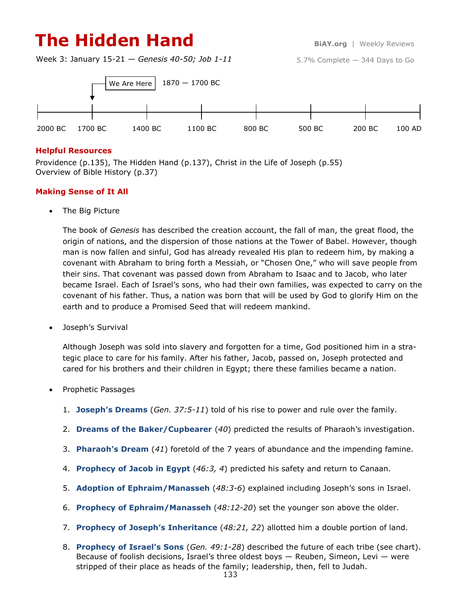# **The Hidden Hand BiAY.org** | Weekly Reviews

5.7% Complete — 344 Days to Go

Week 3: January 15-21 — *Genesis 40-50; Job 1-11*



#### **Helpful Resources**

Providence (p.135), The Hidden Hand (p.137), Christ in the Life of Joseph (p.55) Overview of Bible History (p.37)

#### **Making Sense of It All**

• The Big Picture

The book of *Genesis* has described the creation account, the fall of man, the great flood, the origin of nations, and the dispersion of those nations at the Tower of Babel. However, though man is now fallen and sinful, God has already revealed His plan to redeem him, by making a covenant with Abraham to bring forth a Messiah, or "Chosen One," who will save people from their sins. That covenant was passed down from Abraham to Isaac and to Jacob, who later became Israel. Each of Israel's sons, who had their own families, was expected to carry on the covenant of his father. Thus, a nation was born that will be used by God to glorify Him on the earth and to produce a Promised Seed that will redeem mankind.

Joseph's Survival

Although Joseph was sold into slavery and forgotten for a time, God positioned him in a strategic place to care for his family. After his father, Jacob, passed on, Joseph protected and cared for his brothers and their children in Egypt; there these families became a nation.

- Prophetic Passages
	- 1. **Joseph's Dreams** (*Gen. 37:5-11*) told of his rise to power and rule over the family.
	- 2. **Dreams of the Baker/Cupbearer** (*40*) predicted the results of Pharaoh's investigation.
	- 3. **Pharaoh's Dream** (*41*) foretold of the 7 years of abundance and the impending famine.
	- 4. **Prophecy of Jacob in Egypt** (*46:3, 4*) predicted his safety and return to Canaan.
	- 5. **Adoption of Ephraim/Manasseh** (*48:3-6*) explained including Joseph's sons in Israel.
	- 6. **Prophecy of Ephraim/Manasseh** (*48:12-20*) set the younger son above the older.
	- 7. **Prophecy of Joseph's Inheritance** (*48:21, 22*) allotted him a double portion of land.
	- 8. **Prophecy of Israel's Sons** (*Gen. 49:1-28*) described the future of each tribe (see chart). Because of foolish decisions, Israel's three oldest boys — Reuben, Simeon, Levi — were stripped of their place as heads of the family; leadership, then, fell to Judah.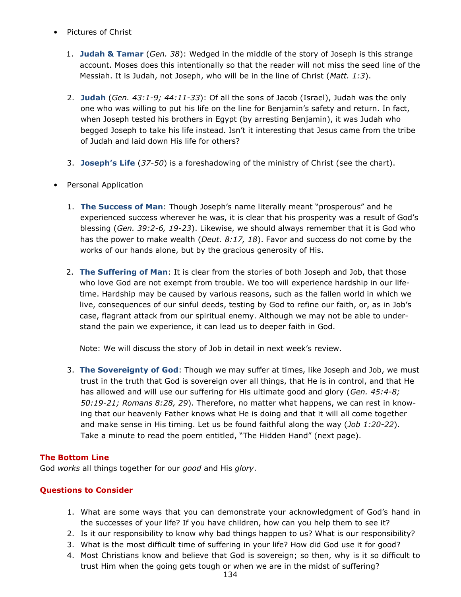- Pictures of Christ
	- 1. **Judah & Tamar** (*Gen. 38*): Wedged in the middle of the story of Joseph is this strange account. Moses does this intentionally so that the reader will not miss the seed line of the Messiah. It is Judah, not Joseph, who will be in the line of Christ (*Matt. 1:3*).
	- 2. **Judah** (*Gen. 43:1-9; 44:11-33*): Of all the sons of Jacob (Israel), Judah was the only one who was willing to put his life on the line for Benjamin's safety and return. In fact, when Joseph tested his brothers in Egypt (by arresting Benjamin), it was Judah who begged Joseph to take his life instead. Isn't it interesting that Jesus came from the tribe of Judah and laid down His life for others?
	- 3. **Joseph's Life** (*37-50*) is a foreshadowing of the ministry of Christ (see the chart).
- Personal Application
	- 1. **The Success of Man**: Though Joseph's name literally meant "prosperous" and he experienced success wherever he was, it is clear that his prosperity was a result of God's blessing (*Gen. 39:2-6, 19-23*). Likewise, we should always remember that it is God who has the power to make wealth (*Deut. 8:17, 18*). Favor and success do not come by the works of our hands alone, but by the gracious generosity of His.
	- 2. **The Suffering of Man**: It is clear from the stories of both Joseph and Job, that those who love God are not exempt from trouble. We too will experience hardship in our lifetime. Hardship may be caused by various reasons, such as the fallen world in which we live, consequences of our sinful deeds, testing by God to refine our faith, or, as in Job's case, flagrant attack from our spiritual enemy. Although we may not be able to understand the pain we experience, it can lead us to deeper faith in God.

Note: We will discuss the story of Job in detail in next week's review.

3. **The Sovereignty of God**: Though we may suffer at times, like Joseph and Job, we must trust in the truth that God is sovereign over all things, that He is in control, and that He has allowed and will use our suffering for His ultimate good and glory (*Gen. 45:4-8; 50:19-21; Romans 8:28, 29*). Therefore, no matter what happens, we can rest in knowing that our heavenly Father knows what He is doing and that it will all come together and make sense in His timing. Let us be found faithful along the way (*Job 1:20-22*). Take a minute to read the poem entitled, "The Hidden Hand" (next page).

### **The Bottom Line**

God *works* all things together for our *good* and His *glory*.

### **Questions to Consider**

- 1. What are some ways that you can demonstrate your acknowledgment of God's hand in the successes of your life? If you have children, how can you help them to see it?
- 2. Is it our responsibility to know why bad things happen to us? What is our responsibility?
- 3. What is the most difficult time of suffering in your life? How did God use it for good?
- 4. Most Christians know and believe that God is sovereign; so then, why is it so difficult to trust Him when the going gets tough or when we are in the midst of suffering?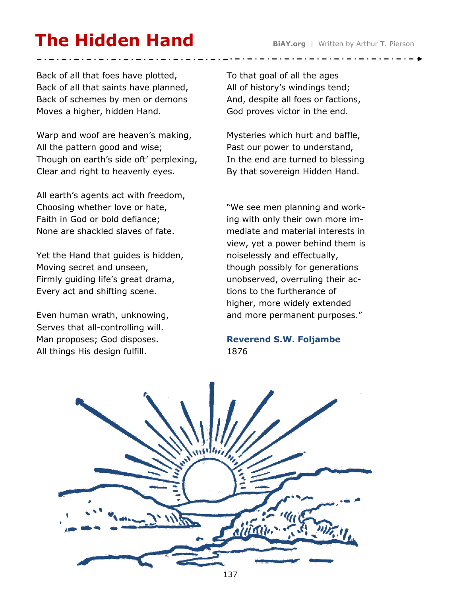# **The Hidden Hand BiAY.org** | Written by Arthur T. Pierson

Back of all that foes have plotted, Back of all that saints have planned, Back of schemes by men or demons Moves a higher, hidden Hand.

Warp and woof are heaven's making, All the pattern good and wise; Though on earth's side oft' perplexing, Clear and right to heavenly eyes.

All earth's agents act with freedom, Choosing whether love or hate, Faith in God or bold defiance; None are shackled slaves of fate.

Yet the Hand that guides is hidden, Moving secret and unseen, Firmly guiding life's great drama, Every act and shifting scene.

Even human wrath, unknowing, Serves that all-controlling will. Man proposes; God disposes. All things His design fulfill.

To that goal of all the ages All of history's windings tend; And, despite all foes or factions, God proves victor in the end.

Mysteries which hurt and baffle, Past our power to understand, In the end are turned to blessing By that sovereign Hidden Hand.

"We see men planning and working with only their own more immediate and material interests in view, yet a power behind them is noiselessly and effectually, though possibly for generations unobserved, overruling their actions to the furtherance of higher, more widely extended and more permanent purposes."

**Reverend S.W. Foljambe** 1876